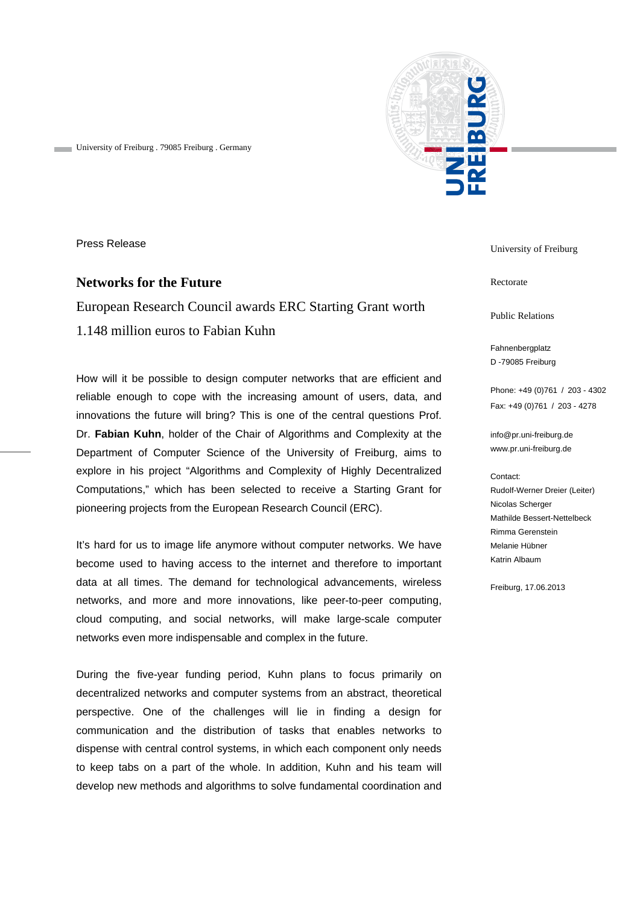

University of Freiburg . 79085 Freiburg . Germany

Press Release

## **Networks for the Future**

## European Research Council awards ERC Starting Grant worth 1.148 million euros to Fabian Kuhn

How will it be possible to design computer networks that are efficient and reliable enough to cope with the increasing amount of users, data, and innovations the future will bring? This is one of the central questions Prof. Dr. **Fabian Kuhn**, holder of the Chair of Algorithms and Complexity at the Department of Computer Science of the University of Freiburg, aims to explore in his project "Algorithms and Complexity of Highly Decentralized Computations," which has been selected to receive a Starting Grant for pioneering projects from the European Research Council (ERC).

It's hard for us to image life anymore without computer networks. We have become used to having access to the internet and therefore to important data at all times. The demand for technological advancements, wireless networks, and more and more innovations, like peer-to-peer computing, cloud computing, and social networks, will make large-scale computer networks even more indispensable and complex in the future.

During the five-year funding period, Kuhn plans to focus primarily on decentralized networks and computer systems from an abstract, theoretical perspective. One of the challenges will lie in finding a design for communication and the distribution of tasks that enables networks to dispense with central control systems, in which each component only needs to keep tabs on a part of the whole. In addition, Kuhn and his team will develop new methods and algorithms to solve fundamental coordination and University of Freiburg

Rectorate

Public Relations

Fahnenbergplatz D -79085 Freiburg

Phone: +49 (0)761 / 203 - 4302 Fax: +49 (0)761 / 203 - 4278

info@pr.uni-freiburg.de www.pr.uni-freiburg.de

## Contact:

Rudolf-Werner Dreier (Leiter) Nicolas Scherger Mathilde Bessert-Nettelbeck Rimma Gerenstein Melanie Hübner Katrin Albaum

Freiburg, 17.06.2013